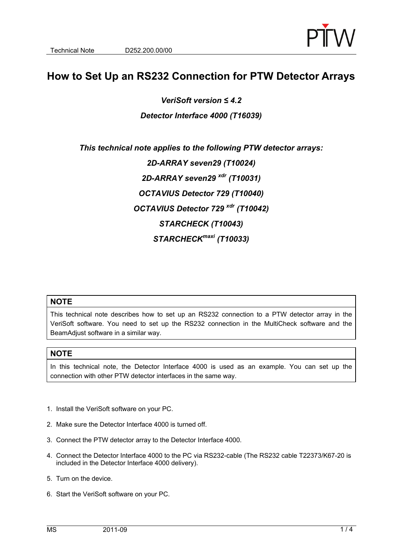

## **How to Set Up an RS232 Connection for PTW Detector Arrays**

*VeriSoft version ≤ 4.2* 

## *Detector Interface 4000 (T16039)*

*This technical note applies to the following PTW detector arrays: 2D-ARRAY seven29 (T10024) 2D-ARRAY seven29 xdr (T10031) OCTAVIUS Detector 729 (T10040) OCTAVIUS Detector 729 xdr (T10042) STARCHECK (T10043) STARCHECKmaxi (T10033)* 

## **NOTE**

This technical note describes how to set up an RS232 connection to a PTW detector array in the VeriSoft software. You need to set up the RS232 connection in the MultiCheck software and the BeamAdjust software in a similar way.

## **NOTE**

In this technical note, the Detector Interface 4000 is used as an example. You can set up the connection with other PTW detector interfaces in the same way.

- 1. Install the VeriSoft software on your PC.
- 2. Make sure the Detector Interface 4000 is turned off.
- 3. Connect the PTW detector array to the Detector Interface 4000.
- 4. Connect the Detector Interface 4000 to the PC via RS232-cable (The RS232 cable T22373/K67-20 is included in the Detector Interface 4000 delivery).
- 5. Turn on the device.
- 6. Start the VeriSoft software on your PC.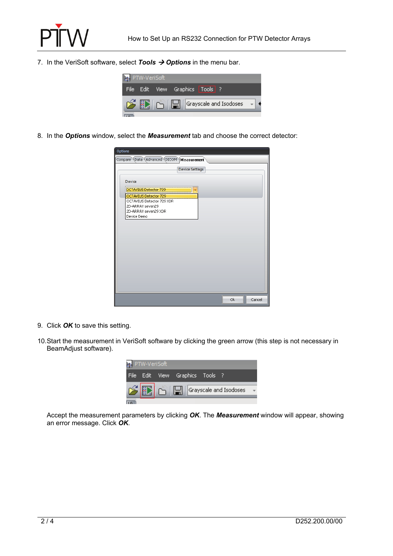

7. In the VeriSoft software, select **Tools**  $\rightarrow$  **Options** in the menu bar.



8. In the *Options* window, select the *Measurement* tab and choose the correct detector:

| Options                                 |           |        |
|-----------------------------------------|-----------|--------|
| Compare Data Advanced DICOM Measurement |           |        |
|                                         |           |        |
| <b>Device Settings</b>                  |           |        |
|                                         |           |        |
| Device                                  |           |        |
| DCTAVIUS Detector 729                   |           |        |
| OCTAVIUS Detector 729                   |           |        |
| OCTAVIUS Detector 729 XDR               |           |        |
| 2D-ARRAY seven29                        |           |        |
| 2D-ARRAY seven29 XDR                    |           |        |
| Device Demo                             |           |        |
|                                         |           |        |
|                                         |           |        |
|                                         |           |        |
|                                         |           |        |
|                                         |           |        |
|                                         |           |        |
|                                         |           |        |
|                                         |           |        |
|                                         |           |        |
|                                         |           |        |
|                                         |           |        |
|                                         |           |        |
|                                         |           |        |
|                                         | <b>Ok</b> | Cancel |

- 9. Click *OK* to save this setting.
- 10. Start the measurement in VeriSoft software by clicking the green arrow (this step is not necessary in BeamAdjust software).



Accept the measurement parameters by clicking *OK*. The *Measurement* window will appear, showing an error message. Click *OK*.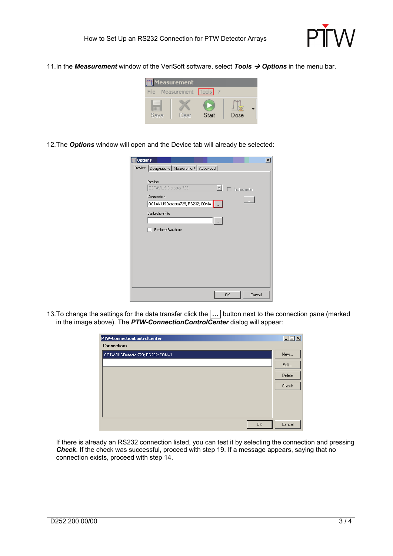

11. In the *Measurement* window of the VeriSoft software, select *Tools Options* in the menu bar.



12. The *Options* window will open and the Device tab will already be selected:

| <b>Options</b>                                                                                                                                     | $\vert x \vert$                 |
|----------------------------------------------------------------------------------------------------------------------------------------------------|---------------------------------|
| Device   Designations   Measurement   Advanced                                                                                                     |                                 |
| Device<br>$\vert \nabla \vert$<br>OCTAVIUS Detector 729<br>Connection<br>OCTAVIUSDetector729; RS232; COM=  <br>Calibration File<br>Reduce Baudrate | $\Box$ Inclinameter<br>$\cdots$ |
|                                                                                                                                                    |                                 |
|                                                                                                                                                    |                                 |
| <b>OK</b>                                                                                                                                          | Cancel                          |

13. To change the settings for the data transfer click the **…** button next to the connection pane (marked in the image above). The *PTW-ConnectionControlCenter* dialog will appear:

| <b>PTW-ConnectionControlCenter</b> |           | L      |
|------------------------------------|-----------|--------|
| <b>Connections</b>                 |           |        |
| OCTAVIUSDetector729; RS232; COM=1  |           | New    |
|                                    |           | Edit   |
|                                    |           | Delete |
|                                    |           | Check  |
|                                    |           |        |
|                                    |           |        |
|                                    |           |        |
|                                    | <b>OK</b> | Cancel |

If there is already an RS232 connection listed, you can test it by selecting the connection and pressing *Check*. If the check was successful, proceed with step 19. If a message appears, saying that no connection exists, proceed with step 14.